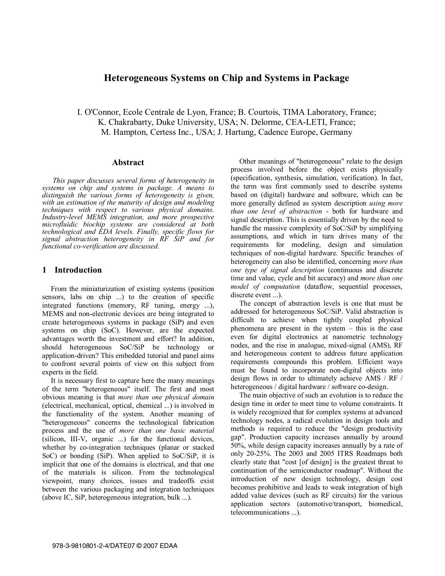# **Heterogeneous Systems on Chip and Systems in Package**

I. O'Connor, Ecole Centrale de Lyon, France; B. Courtois, TIMA Laboratory, France; K. Chakrabarty, Duke University, USA; N. Delorme, CEA-LETI, France; M. Hampton, Certess Inc., USA; J. Hartung, Cadence Europe, Germany

#### **Abstract**

*This paper discusses several forms of heterogeneity in systems on chip and systems in package. A means to distinguish the various forms of heterogeneity is given, with an estimation of the maturity of design and modeling techniques with respect to various physical domains. Industry-level MEMS integration, and more prospective microfluidic biochip systems are considered at both technological and EDA levels. Finally, specific flows for signal abstraction heterogeneity in RF SiP and for functional co-verification are discussed.* 

## **1 Introduction**

From the miniaturization of existing systems (position sensors, labs on chip ...) to the creation of specific integrated functions (memory, RF tuning, energy ...), MEMS and non-electronic devices are being integrated to create heterogeneous systems in package (SiP) and even systems on chip (SoC). However, are the expected advantages worth the investment and effort? In addition, should heterogeneous SoC/SiP be technology or application-driven? This embedded tutorial and panel aims to confront several points of view on this subject from experts in the field.

It is necessary first to capture here the many meanings of the term "heterogeneous" itself. The first and most obvious meaning is that *more than one physical domain* (electrical, mechanical, optical, chemical ...) is involved in the functionality of the system. Another meaning of "heterogeneous" concerns the technological fabrication process and the use of *more than one basic material* (silicon, III-V, organic ...) for the functional devices, whether by co-integration techniques (planar or stacked SoC) or bonding (SiP). When applied to SoC/SiP, it is implicit that one of the domains is electrical, and that one of the materials is silicon. From the technological viewpoint, many choices, issues and tradeoffs exist between the various packaging and integration techniques (above IC, SiP, heterogeneous integration, bulk ...).

Other meanings of "heterogeneous" relate to the design process involved before the object exists physically (specification, synthesis, simulation, verification). In fact, the term was first commonly used to describe systems based on (digital) hardware and software, which can be more generally defined as system description *using more than one level of abstraction* - both for hardware and signal description. This is essentially driven by the need to handle the massive complexity of SoC/SiP by simplifying assumptions, and which in turn drives many of the requirements for modeling, design and simulation techniques of non-digital hardware. Specific branches of heterogeneity can also be identified, concerning *more than one type of signal description* (continuous and discrete time and value, cycle and bit accuracy) and *more than one model of computation* (dataflow, sequential processes, discrete event ...).

The concept of abstraction levels is one that must be addressed for heterogeneous SoC/SiP. Valid abstraction is difficult to achieve when tightly coupled physical phenomena are present in the system – this is the case even for digital electronics at nanometric technology nodes, and the rise in analogue, mixed-signal (AMS), RF and heterogeneous content to address future application requirements compounds this problem. Efficient ways must be found to incorporate non-digital objects into design flows in order to ultimately achieve AMS / RF / heterogeneous / digital hardware / software co-design.

The main objective of such an evolution is to reduce the design time in order to meet time to volume constraints. It is widely recognized that for complex systems at advanced technology nodes, a radical evolution in design tools and methods is required to reduce the "design productivity gap". Production capacity increases annually by around 50%, while design capacity increases annually by a rate of only 20-25%. The 2003 and 2005 ITRS Roadmaps both clearly state that "cost [of design] is the greatest threat to continuation of the semiconductor roadmap". Without the introduction of new design technology, design cost becomes prohibitive and leads to weak integration of high added value devices (such as RF circuits) for the various application sectors (automotive/transport, biomedical, telecommunications ...).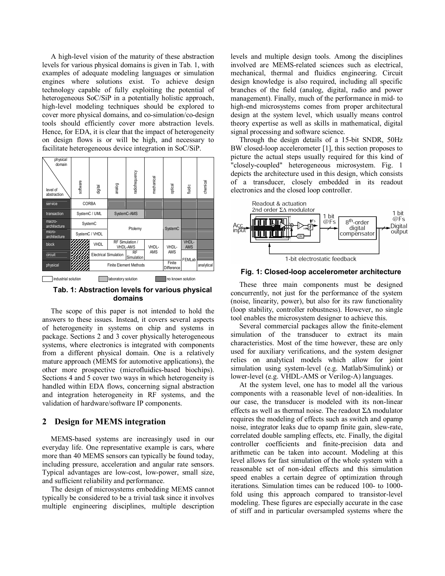A high-level vision of the maturity of these abstraction levels for various physical domains is given in Tab. 1, with examples of adequate modeling languages or simulation engines where solutions exist. To achieve design technology capable of fully exploiting the potential of heterogeneous SoC/SiP in a potentially holistic approach, high-level modeling techniques should be explored to cover more physical domains, and co-simulation/co-design tools should efficiently cover more abstraction levels. Hence, for EDA, it is clear that the impact of heterogeneity on design flows is or will be high, and necessary to facilitate heterogeneous device integration in SoC/SiP.

| physical<br>domain<br>level of<br>abstraction | software                     | digital     | analog              | radiofrequency                | mechanical           | optical           | fluidic             | chemical |
|-----------------------------------------------|------------------------------|-------------|---------------------|-------------------------------|----------------------|-------------------|---------------------|----------|
| service                                       | CORBA                        |             |                     |                               |                      |                   |                     |          |
| transaction                                   | SystemC / UML                |             | SystemC-AMS         |                               |                      |                   |                     |          |
| macro-<br>architecture                        | SystemC                      |             | Ptolemy             |                               |                      | SystemC           |                     |          |
| micro-<br>architecture                        | SystemC / VHDL               |             |                     |                               |                      |                   |                     |          |
| block                                         |                              | <b>VHDL</b> | RF Simulation /     | <b>VHDL-AMS</b>               | VHDL-                | VHDL-             | VHDL-<br><b>AMS</b> |          |
| circuit                                       | <b>Electrical Simulation</b> |             |                     | <b>RF</b><br>Simulation       | AMS                  | AMS               | FEMLab              |          |
| physical                                      |                              |             |                     | <b>Finite Element Methods</b> | Finite<br>Difference |                   | analytical          |          |
| industrial solution                           |                              |             | laboratory solution |                               |                      | no known solution |                     |          |

**Tab. 1: Abstraction levels for various physical domains** 

The scope of this paper is not intended to hold the answers to these issues. Instead, it covers several aspects of heterogeneity in systems on chip and systems in package. Sections 2 and 3 cover physically heterogeneous systems, where electronics is integrated with components from a different physical domain. One is a relatively mature approach (MEMS for automotive applications), the other more prospective (microfluidics-based biochips). Sections 4 and 5 cover two ways in which heterogeneity is handled within EDA flows, concerning signal abstraction and integration heterogeneity in RF systems, and the validation of hardware/software IP components.

## **2 Design for MEMS integration**

MEMS-based systems are increasingly used in our everyday life. One representative example is cars, where more than 40 MEMS sensors can typically be found today, including pressure, acceleration and angular rate sensors. Typical advantages are low-cost, low-power, small size, and sufficient reliability and performance.

The design of microsystems embedding MEMS cannot typically be considered to be a trivial task since it involves multiple engineering disciplines, multiple description levels and multiple design tools. Among the disciplines involved are MEMS-related sciences such as electrical, mechanical, thermal and fluidics engineering. Circuit design knowledge is also required, including all specific branches of the field (analog, digital, radio and power management). Finally, much of the performance in mid- to high-end microsystems comes from proper architectural design at the system level, which usually means control theory expertise as well as skills in mathematical, digital signal processing and software science.

Through the design details of a 15-bit SNDR, 50Hz BW closed-loop accelerometer [1], this section proposes to picture the actual steps usually required for this kind of "closely-coupled" heterogeneous microsystem. Fig. 1 depicts the architecture used in this design, which consists of a transducer, closely embedded in its readout electronics and the closed loop controller.



### **Fig. 1: Closed-loop accelerometer architecture**

These three main components must be designed concurrently, not just for the performance of the system (noise, linearity, power), but also for its raw functionality (loop stability, controller robustness). However, no single tool enables the microsystem designer to achieve this.

Several commercial packages allow the finite-element simulation of the transducer to extract its main characteristics. Most of the time however, these are only used for auxiliary verifications, and the system designer relies on analytical models which allow for joint simulation using system-level (e.g. Matlab/Simulink) or lower-level (e.g. VHDL-AMS or Verilog-A) languages.

At the system level, one has to model all the various components with a reasonable level of non-idealities. In our case, the transducer is modeled with its non-linear effects as well as thermal noise. The readout Σ∆ modulator requires the modeling of effects such as switch and opamp noise, integrator leaks due to opamp finite gain, slew-rate, correlated double sampling effects, etc. Finally, the digital controller coefficients and finite-precision data and arithmetic can be taken into account. Modeling at this level allows for fast simulation of the whole system with a reasonable set of non-ideal effects and this simulation speed enables a certain degree of optimization through iterations. Simulation times can be reduced 100- to 1000 fold using this approach compared to transistor-level modeling. These figures are especially accurate in the case of stiff and in particular oversampled systems where the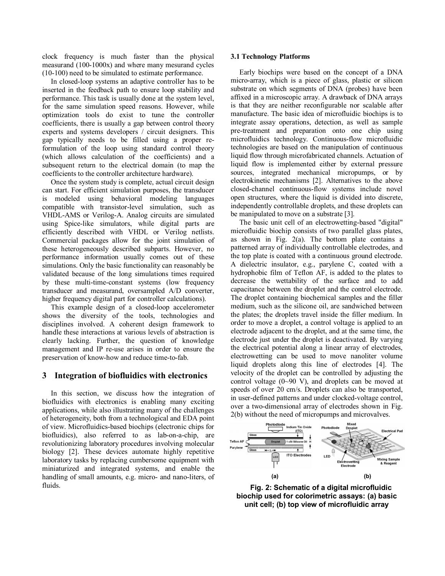clock frequency is much faster than the physical measurand (100-1000x) and where many mesurand cycles (10-100) need to be simulated to estimate performance.

In closed-loop systems an adaptive controller has to be inserted in the feedback path to ensure loop stability and performance. This task is usually done at the system level, for the same simulation speed reasons. However, while optimization tools do exist to tune the controller coefficients, there is usually a gap between control theory experts and systems developers / circuit designers. This gap typically needs to be filled using a proper reformulation of the loop using standard control theory (which allows calculation of the coefficients) and a subsequent return to the electrical domain (to map the coefficients to the controller architecture hardware).

Once the system study is complete, actual circuit design can start. For efficient simulation purposes, the transducer is modeled using behavioral modeling languages compatible with transistor-level simulation, such as VHDL-AMS or Verilog-A. Analog circuits are simulated using Spice-like simulators, while digital parts are efficiently described with VHDL or Verilog netlists. Commercial packages allow for the joint simulation of these heterogeneously described subparts. However, no performance information usually comes out of these simulations. Only the basic functionality can reasonably be validated because of the long simulations times required by these multi-time-constant systems (low frequency transducer and measurand, oversampled A/D converter, higher frequency digital part for controller calculations).

This example design of a closed-loop accelerometer shows the diversity of the tools, technologies and disciplines involved. A coherent design framework to handle these interactions at various levels of abstraction is clearly lacking. Further, the question of knowledge management and IP re-use arises in order to ensure the preservation of know-how and reduce time-to-fab.

## **3 Integration of biofluidics with electronics**

In this section, we discuss how the integration of biofluidics with electronics is enabling many exciting applications, while also illustrating many of the challenges of heterogeneity, both from a technological and EDA point of view. Microfluidics-based biochips (electronic chips for biofluidics), also referred to as lab-on-a-chip, are revolutionizing laboratory procedures involving molecular biology [2]. These devices automate highly repetitive laboratory tasks by replacing cumbersome equipment with miniaturized and integrated systems, and enable the handling of small amounts, e.g. micro- and nano-liters, of fluids.

#### **3.1 Technology Platforms**

Early biochips were based on the concept of a DNA micro-array, which is a piece of glass, plastic or silicon substrate on which segments of DNA (probes) have been affixed in a microscopic array. A drawback of DNA arrays is that they are neither reconfigurable nor scalable after manufacture. The basic idea of microfluidic biochips is to integrate assay operations, detection, as well as sample pre-treatment and preparation onto one chip using microfluidics technology. Continuous-flow microfluidic technologies are based on the manipulation of continuous liquid flow through microfabricated channels. Actuation of liquid flow is implemented either by external pressure sources, integrated mechanical micropumps, or by electrokinetic mechanisms [2]. Alternatives to the above closed-channel continuous-flow systems include novel open structures, where the liquid is divided into discrete, independently controllable droplets, and these droplets can be manipulated to move on a substrate [3].

The basic unit cell of an electrowetting-based "digital" microfluidic biochip consists of two parallel glass plates, as shown in Fig. 2(a). The bottom plate contains a patterned array of individually controllable electrodes, and the top plate is coated with a continuous ground electrode. A dielectric insulator, e.g., parylene C, coated with a hydrophobic film of Teflon AF, is added to the plates to decrease the wettability of the surface and to add capacitance between the droplet and the control electrode. The droplet containing biochemical samples and the filler medium, such as the silicone oil, are sandwiched between the plates; the droplets travel inside the filler medium. In order to move a droplet, a control voltage is applied to an electrode adjacent to the droplet, and at the same time, the electrode just under the droplet is deactivated. By varying the electrical potential along a linear array of electrodes, electrowetting can be used to move nanoliter volume liquid droplets along this line of electrodes [4]. The velocity of the droplet can be controlled by adjusting the control voltage (0~90 V), and droplets can be moved at speeds of over 20 cm/s. Droplets can also be transported, in user-defined patterns and under clocked-voltage control, over a two-dimensional array of electrodes shown in Fig. 2(b) without the need of micropumps and microvalves.



**Fig. 2: Schematic of a digital microfluidic biochip used for colorimetric assays: (a) basic unit cell; (b) top view of microfluidic array**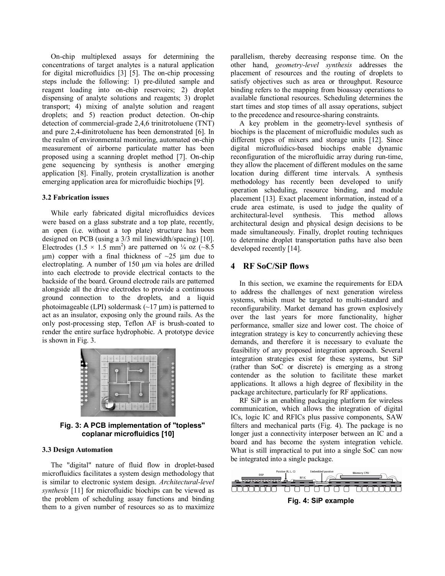On-chip multiplexed assays for determining the concentrations of target analytes is a natural application for digital microfluidics [3] [5]. The on-chip processing steps include the following: 1) pre-diluted sample and reagent loading into on-chip reservoirs; 2) droplet dispensing of analyte solutions and reagents; 3) droplet transport; 4) mixing of analyte solution and reagent droplets; and 5) reaction product detection. On-chip detection of commercial-grade 2,4,6 trinitrotoluene (TNT) and pure 2,4-dinitrotoluene has been demonstrated [6]. In the realm of environmental monitoring, automated on-chip measurement of airborne particulate matter has been proposed using a scanning droplet method [7]. On-chip gene sequencing by synthesis is another emerging application [8]. Finally, protein crystallization is another emerging application area for microfluidic biochips [9].

#### **3.2 Fabrication issues**

While early fabricated digital microfluidics devices were based on a glass substrate and a top plate, recently, an open (i.e. without a top plate) structure has been designed on PCB (using a 3/3 mil linewidth/spacing) [10]. Electrodes (1.5  $\times$  1.5 mm<sup>2</sup>) are patterned on  $\frac{1}{4}$  oz (~8.5)  $\mu$ m) copper with a final thickness of  $\sim$ 25  $\mu$ m due to electroplating. A number of 150 µm via holes are drilled into each electrode to provide electrical contacts to the backside of the board. Ground electrode rails are patterned alongside all the drive electrodes to provide a continuous ground connection to the droplets, and a liquid photoimageable (LPI) soldermask  $(\sim 17 \mu m)$  is patterned to act as an insulator, exposing only the ground rails. As the only post-processing step, Teflon AF is brush-coated to render the entire surface hydrophobic. A prototype device is shown in Fig. 3.



**Fig. 3: A PCB implementation of "topless" coplanar microfluidics [10]** 

#### **3.3 Design Automation**

The "digital" nature of fluid flow in droplet-based microfluidics facilitates a system design methodology that is similar to electronic system design. *Architectural-level synthesis* [11] for microfluidic biochips can be viewed as the problem of scheduling assay functions and binding them to a given number of resources so as to maximize

parallelism, thereby decreasing response time. On the other hand, *geometry-level synthesis* addresses the placement of resources and the routing of droplets to satisfy objectives such as area or throughput. Resource binding refers to the mapping from bioassay operations to available functional resources. Scheduling determines the start times and stop times of all assay operations, subject to the precedence and resource-sharing constraints.

A key problem in the geometry-level synthesis of biochips is the placement of microfluidic modules such as different types of mixers and storage units [12]. Since digital microfluidics-based biochips enable dynamic reconfiguration of the microfluidic array during run-time, they allow the placement of different modules on the same location during different time intervals. A synthesis methodology has recently been developed to unify operation scheduling, resource binding, and module placement [13]. Exact placement information, instead of a crude area estimate, is used to judge the quality of architectural-level synthesis. This method allows architectural design and physical design decisions to be made simultaneously. Finally, droplet routing techniques to determine droplet transportation paths have also been developed recently [14].

## **4 RF SoC/SiP flows**

In this section, we examine the requirements for EDA to address the challenges of next generation wireless systems, which must be targeted to multi-standard and reconfigurability. Market demand has grown explosively over the last years for more functionality, higher performance, smaller size and lower cost. The choice of integration strategy is key to concurrently achieving these demands, and therefore it is necessary to evaluate the feasibility of any proposed integration approach. Several integration strategies exist for these systems, but SiP (rather than SoC or discrete) is emerging as a strong contender as the solution to facilitate these market applications. It allows a high degree of flexibility in the package architecture, particularly for RF applications.

RF SiP is an enabling packaging platform for wireless communication, which allows the integration of digital ICs, logic IC and RFICs plus passive components, SAW filters and mechanical parts (Fig. 4). The package is no longer just a connectivity interposer between an IC and a board and has become the system integration vehicle. What is still impractical to put into a single SoC can now be integrated into a single package.



**Fig. 4: SiP example**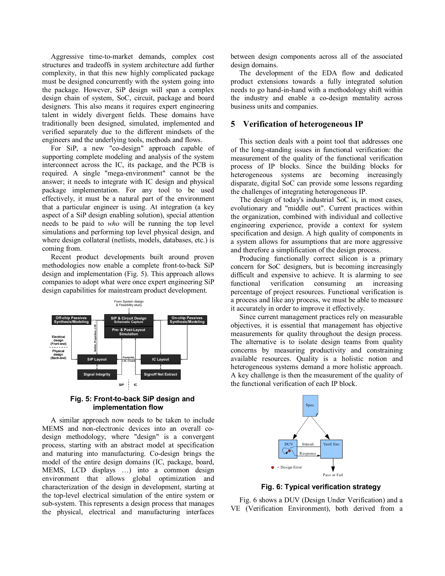Aggressive time-to-market demands, complex cost structures and tradeoffs in system architecture add further complexity, in that this new highly complicated package must be designed concurrently with the system going into the package. However, SiP design will span a complex design chain of system, SoC, circuit, package and board designers. This also means it requires expert engineering talent in widely divergent fields. These domains have traditionally been designed, simulated, implemented and verified separately due to the different mindsets of the engineers and the underlying tools, methods and flows.

For SiP, a new "co-design" approach capable of supporting complete modeling and analysis of the system interconnect across the IC, its package, and the PCB is required. A single "mega-environment" cannot be the answer; it needs to integrate with IC design and physical package implementation. For any tool to be used effectively, it must be a natural part of the environment that a particular engineer is using. At integration (a key aspect of a SiP design enabling solution), special attention needs to be paid to *who* will be running the top level simulations and performing top level physical design, and where design collateral (netlists, models, databases, etc.) is coming from.

Recent product developments built around proven methodologies now enable a complete front-to-back SiP design and implementation (Fig. 5). This approach allows companies to adopt what were once expert engineering SiP design capabilities for mainstream product development.



**Fig. 5: Front-to-back SiP design and implementation flow** 

A similar approach now needs to be taken to include MEMS and non-electronic devices into an overall codesign methodology, where "design" is a convergent process, starting with an abstract model at specification and maturing into manufacturing. Co-design brings the model of the entire design domains (IC, package, board, MEMS, LCD displays …) into a common design environment that allows global optimization and characterization of the design in development, starting at the top-level electrical simulation of the entire system or sub-system. This represents a design process that manages the physical, electrical and manufacturing interfaces

between design components across all of the associated design domains.

The development of the EDA flow and dedicated product extensions towards a fully integrated solution needs to go hand-in-hand with a methodology shift within the industry and enable a co-design mentality across business units and companies.

## **5 Verification of heterogeneous IP**

This section deals with a point tool that addresses one of the long-standing issues in functional verification: the measurement of the quality of the functional verification process of IP blocks. Since the building blocks for heterogeneous systems are becoming increasingly disparate, digital SoC can provide some lessons regarding the challenges of integrating heterogeneous IP.

The design of today's industrial SoC is, in most cases, evolutionary and "middle out". Current practices within the organization, combined with individual and collective engineering experience, provide a context for system specification and design. A high quality of components in a system allows for assumptions that are more aggressive and therefore a simplification of the design process.

Producing functionally correct silicon is a primary concern for SoC designers, but is becoming increasingly difficult and expensive to achieve. It is alarming to see functional verification consuming an increasing percentage of project resources. Functional verification is a process and like any process, we must be able to measure it accurately in order to improve it effectively.

Since current management practices rely on measurable objectives, it is essential that management has objective measurements for quality throughout the design process. The alternative is to isolate design teams from quality concerns by measuring productivity and constraining available resources. Quality is a holistic notion and heterogeneous systems demand a more holistic approach. A key challenge is then the measurement of the quality of the functional verification of each IP block.



**Fig. 6: Typical verification strategy** 

Fig. 6 shows a DUV (Design Under Verification) and a VE (Verification Environment), both derived from a